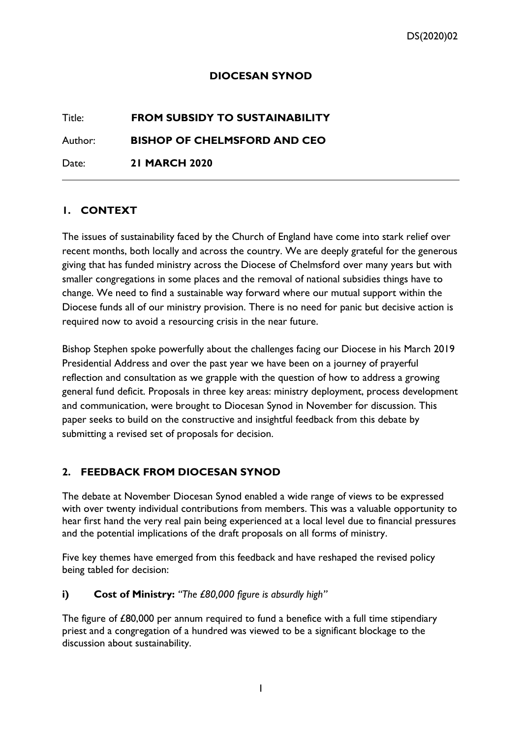### **DIOCESAN SYNOD**

# Title: **FROM SUBSIDY TO SUSTAINABILITY**

Author: **BISHOP OF CHELMSFORD AND CEO**

Date: **21 MARCH 2020**

#### **1. CONTEXT**

The issues of sustainability faced by the Church of England have come into stark relief over recent months, both locally and across the country. We are deeply grateful for the generous giving that has funded ministry across the Diocese of Chelmsford over many years but with smaller congregations in some places and the removal of national subsidies things have to change. We need to find a sustainable way forward where our mutual support within the Diocese funds all of our ministry provision. There is no need for panic but decisive action is required now to avoid a resourcing crisis in the near future.

Bishop Stephen spoke powerfully about the challenges facing our Diocese in his March 2019 Presidential Address and over the past year we have been on a journey of prayerful reflection and consultation as we grapple with the question of how to address a growing general fund deficit. Proposals in three key areas: ministry deployment, process development and communication, were brought to Diocesan Synod in November for discussion. This paper seeks to build on the constructive and insightful feedback from this debate by submitting a revised set of proposals for decision.

# **2. FEEDBACK FROM DIOCESAN SYNOD**

The debate at November Diocesan Synod enabled a wide range of views to be expressed with over twenty individual contributions from members. This was a valuable opportunity to hear first hand the very real pain being experienced at a local level due to financial pressures and the potential implications of the draft proposals on all forms of ministry.

Five key themes have emerged from this feedback and have reshaped the revised policy being tabled for decision:

#### **i) Cost of Ministry:** *"The £80,000 figure is absurdly high"*

The figure of £80,000 per annum required to fund a benefice with a full time stipendiary priest and a congregation of a hundred was viewed to be a significant blockage to the discussion about sustainability.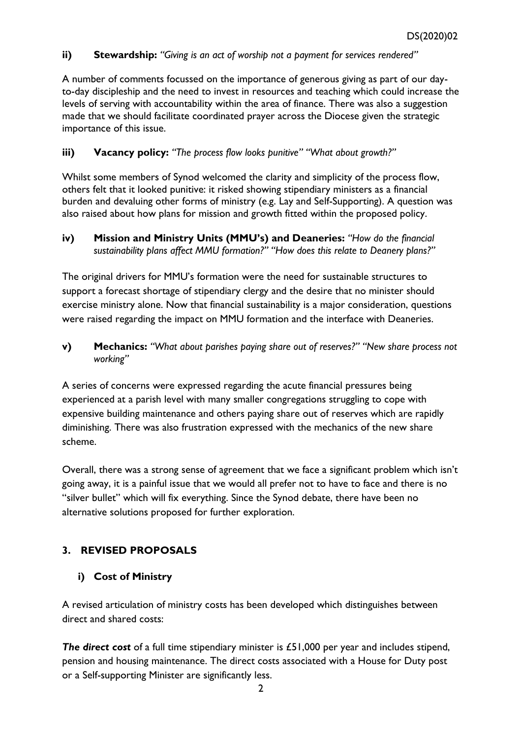#### **ii) Stewardship:** *"Giving is an act of worship not a payment for services rendered"*

A number of comments focussed on the importance of generous giving as part of our dayto-day discipleship and the need to invest in resources and teaching which could increase the levels of serving with accountability within the area of finance. There was also a suggestion made that we should facilitate coordinated prayer across the Diocese given the strategic importance of this issue.

#### **iii) Vacancy policy:** *"The process flow looks punitive" "What about growth?"*

Whilst some members of Synod welcomed the clarity and simplicity of the process flow, others felt that it looked punitive: it risked showing stipendiary ministers as a financial burden and devaluing other forms of ministry (e.g. Lay and Self-Supporting). A question was also raised about how plans for mission and growth fitted within the proposed policy.

#### **iv) Mission and Ministry Units (MMU's) and Deaneries:** *"How do the financial sustainability plans affect MMU formation?" "How does this relate to Deanery plans?"*

The original drivers for MMU's formation were the need for sustainable structures to support a forecast shortage of stipendiary clergy and the desire that no minister should exercise ministry alone. Now that financial sustainability is a major consideration, questions were raised regarding the impact on MMU formation and the interface with Deaneries.

**v) Mechanics:** *"What about parishes paying share out of reserves?" "New share process not working"*

A series of concerns were expressed regarding the acute financial pressures being experienced at a parish level with many smaller congregations struggling to cope with expensive building maintenance and others paying share out of reserves which are rapidly diminishing. There was also frustration expressed with the mechanics of the new share scheme.

Overall, there was a strong sense of agreement that we face a significant problem which isn't going away, it is a painful issue that we would all prefer not to have to face and there is no "silver bullet" which will fix everything. Since the Synod debate, there have been no alternative solutions proposed for further exploration.

# **3. REVISED PROPOSALS**

# **i) Cost of Ministry**

A revised articulation of ministry costs has been developed which distinguishes between direct and shared costs:

*The direct cost* of a full time stipendiary minister is £51,000 per year and includes stipend, pension and housing maintenance. The direct costs associated with a House for Duty post or a Self-supporting Minister are significantly less.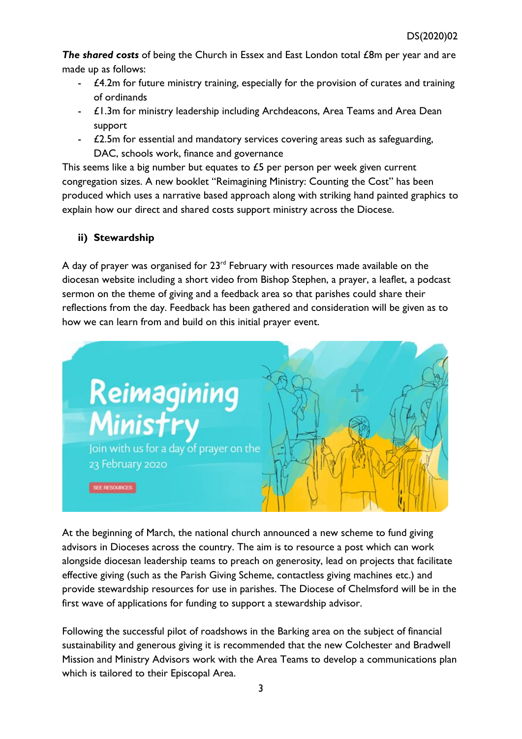*The shared costs* of being the Church in Essex and East London total £8m per year and are made up as follows:

- £4.2m for future ministry training, especially for the provision of curates and training of ordinands
- £1.3m for ministry leadership including Archdeacons, Area Teams and Area Dean support
- £2.5m for essential and mandatory services covering areas such as safeguarding, DAC, schools work, finance and governance

This seems like a big number but equates to £5 per person per week given current congregation sizes. A new booklet "Reimagining Ministry: Counting the Cost" has been produced which uses a narrative based approach along with striking hand painted graphics to explain how our direct and shared costs support ministry across the Diocese.

# **ii) Stewardship**

A day of prayer was organised for  $23<sup>rd</sup>$  February with resources made available on the diocesan website including a short video from Bishop Stephen, a prayer, a leaflet, a podcast sermon on the theme of giving and a feedback area so that parishes could share their reflections from the day. Feedback has been gathered and consideration will be given as to how we can learn from and build on this initial prayer event.



At the beginning of March, the national church announced a new scheme to fund giving advisors in Dioceses across the country. The aim is to resource a post which can work alongside diocesan leadership teams to preach on generosity, lead on projects that facilitate effective giving (such as the Parish Giving Scheme, contactless giving machines etc.) and provide stewardship resources for use in parishes. The Diocese of Chelmsford will be in the first wave of applications for funding to support a stewardship advisor.

Following the successful pilot of roadshows in the Barking area on the subject of financial sustainability and generous giving it is recommended that the new Colchester and Bradwell Mission and Ministry Advisors work with the Area Teams to develop a communications plan which is tailored to their Episcopal Area.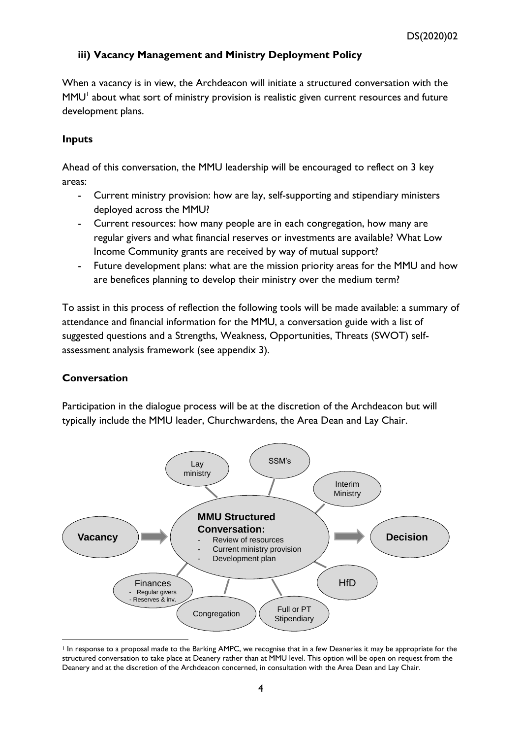### **iii) Vacancy Management and Ministry Deployment Policy**

When a vacancy is in view, the Archdeacon will initiate a structured conversation with the  $MMU<sup>1</sup>$  about what sort of ministry provision is realistic given current resources and future development plans.

#### **Inputs**

Ahead of this conversation, the MMU leadership will be encouraged to reflect on 3 key areas:

- Current ministry provision: how are lay, self-supporting and stipendiary ministers deployed across the MMU?
- Current resources: how many people are in each congregation, how many are regular givers and what financial reserves or investments are available? What Low Income Community grants are received by way of mutual support?
- Future development plans: what are the mission priority areas for the MMU and how are benefices planning to develop their ministry over the medium term?

To assist in this process of reflection the following tools will be made available: a summary of attendance and financial information for the MMU, a conversation guide with a list of suggested questions and a Strengths, Weakness, Opportunities, Threats (SWOT) selfassessment analysis framework (see appendix 3).

#### **Conversation**

Participation in the dialogue process will be at the discretion of the Archdeacon but will typically include the MMU leader, Churchwardens, the Area Dean and Lay Chair.



<sup>&</sup>lt;sup>1</sup> In response to a proposal made to the Barking AMPC, we recognise that in a few Deaneries it may be appropriate for the structured conversation to take place at Deanery rather than at MMU level. This option will be open on request from the Deanery and at the discretion of the Archdeacon concerned, in consultation with the Area Dean and Lay Chair.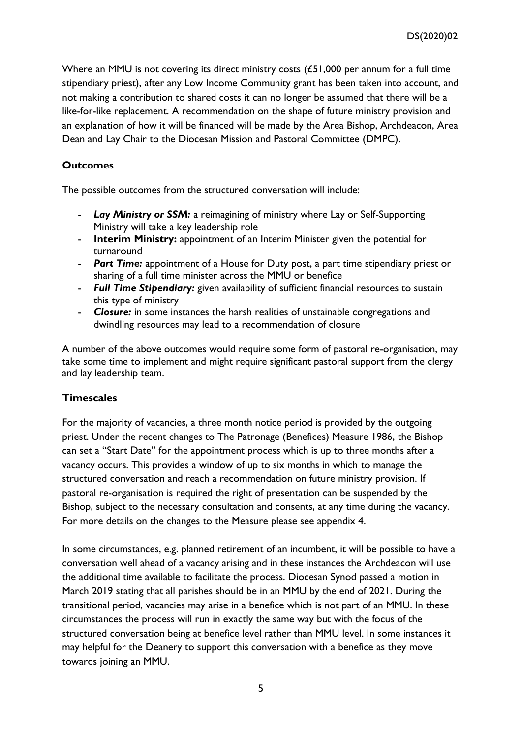Where an MMU is not covering its direct ministry costs (£51,000 per annum for a full time stipendiary priest), after any Low Income Community grant has been taken into account, and not making a contribution to shared costs it can no longer be assumed that there will be a like-for-like replacement. A recommendation on the shape of future ministry provision and an explanation of how it will be financed will be made by the Area Bishop, Archdeacon, Area Dean and Lay Chair to the Diocesan Mission and Pastoral Committee (DMPC).

#### **Outcomes**

The possible outcomes from the structured conversation will include:

- Lay Ministry or **SSM:** a reimagining of ministry where Lay or Self-Supporting Ministry will take a key leadership role
- **Interim Ministry:** appointment of an Interim Minister given the potential for turnaround
- *Part Time:* appointment of a House for Duty post, a part time stipendiary priest or sharing of a full time minister across the MMU or benefice
- *Full Time Stipendiary:* given availability of sufficient financial resources to sustain this type of ministry
- *Closure:* in some instances the harsh realities of unstainable congregations and dwindling resources may lead to a recommendation of closure

A number of the above outcomes would require some form of pastoral re-organisation, may take some time to implement and might require significant pastoral support from the clergy and lay leadership team.

#### **Timescales**

For the majority of vacancies, a three month notice period is provided by the outgoing priest. Under the recent changes to The Patronage (Benefices) Measure 1986, the Bishop can set a "Start Date" for the appointment process which is up to three months after a vacancy occurs. This provides a window of up to six months in which to manage the structured conversation and reach a recommendation on future ministry provision. If pastoral re-organisation is required the right of presentation can be suspended by the Bishop, subject to the necessary consultation and consents, at any time during the vacancy. For more details on the changes to the Measure please see appendix 4.

In some circumstances, e.g. planned retirement of an incumbent, it will be possible to have a conversation well ahead of a vacancy arising and in these instances the Archdeacon will use the additional time available to facilitate the process. Diocesan Synod passed a motion in March 2019 stating that all parishes should be in an MMU by the end of 2021. During the transitional period, vacancies may arise in a benefice which is not part of an MMU. In these circumstances the process will run in exactly the same way but with the focus of the structured conversation being at benefice level rather than MMU level. In some instances it may helpful for the Deanery to support this conversation with a benefice as they move towards joining an MMU.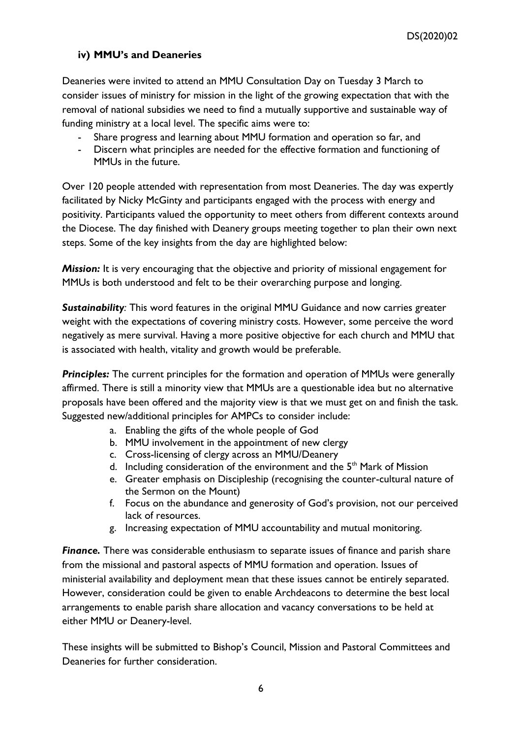# **iv) MMU's and Deaneries**

Deaneries were invited to attend an MMU Consultation Day on Tuesday 3 March to consider issues of ministry for mission in the light of the growing expectation that with the removal of national subsidies we need to find a mutually supportive and sustainable way of funding ministry at a local level. The specific aims were to:

- Share progress and learning about MMU formation and operation so far, and
- Discern what principles are needed for the effective formation and functioning of MMUs in the future.

Over 120 people attended with representation from most Deaneries. The day was expertly facilitated by Nicky McGinty and participants engaged with the process with energy and positivity. Participants valued the opportunity to meet others from different contexts around the Diocese. The day finished with Deanery groups meeting together to plan their own next steps. Some of the key insights from the day are highlighted below:

*Mission:* It is very encouraging that the objective and priority of missional engagement for MMUs is both understood and felt to be their overarching purpose and longing.

*Sustainability:* This word features in the original MMU Guidance and now carries greater weight with the expectations of covering ministry costs. However, some perceive the word negatively as mere survival. Having a more positive objective for each church and MMU that is associated with health, vitality and growth would be preferable.

**Principles:** The current principles for the formation and operation of MMUs were generally affirmed. There is still a minority view that MMUs are a questionable idea but no alternative proposals have been offered and the majority view is that we must get on and finish the task. Suggested new/additional principles for AMPCs to consider include:

- a. Enabling the gifts of the whole people of God
- b. MMU involvement in the appointment of new clergy
- c. Cross-licensing of clergy across an MMU/Deanery
- d. Including consideration of the environment and the  $5<sup>th</sup>$  Mark of Mission
- e. Greater emphasis on Discipleship (recognising the counter-cultural nature of the Sermon on the Mount)
- f. Focus on the abundance and generosity of God's provision, not our perceived lack of resources.
- g. Increasing expectation of MMU accountability and mutual monitoring.

*Finance.* There was considerable enthusiasm to separate issues of finance and parish share from the missional and pastoral aspects of MMU formation and operation. Issues of ministerial availability and deployment mean that these issues cannot be entirely separated. However, consideration could be given to enable Archdeacons to determine the best local arrangements to enable parish share allocation and vacancy conversations to be held at either MMU or Deanery-level.

These insights will be submitted to Bishop's Council, Mission and Pastoral Committees and Deaneries for further consideration.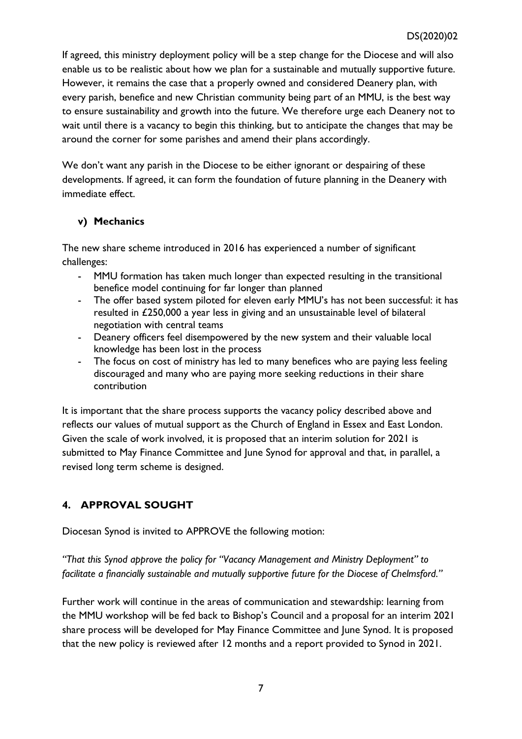If agreed, this ministry deployment policy will be a step change for the Diocese and will also enable us to be realistic about how we plan for a sustainable and mutually supportive future. However, it remains the case that a properly owned and considered Deanery plan, with every parish, benefice and new Christian community being part of an MMU, is the best way to ensure sustainability and growth into the future. We therefore urge each Deanery not to wait until there is a vacancy to begin this thinking, but to anticipate the changes that may be around the corner for some parishes and amend their plans accordingly.

We don't want any parish in the Diocese to be either ignorant or despairing of these developments. If agreed, it can form the foundation of future planning in the Deanery with immediate effect.

# **v) Mechanics**

The new share scheme introduced in 2016 has experienced a number of significant challenges:

- MMU formation has taken much longer than expected resulting in the transitional benefice model continuing for far longer than planned
- The offer based system piloted for eleven early MMU's has not been successful: it has resulted in £250,000 a year less in giving and an unsustainable level of bilateral negotiation with central teams
- Deanery officers feel disempowered by the new system and their valuable local knowledge has been lost in the process
- The focus on cost of ministry has led to many benefices who are paying less feeling discouraged and many who are paying more seeking reductions in their share contribution

It is important that the share process supports the vacancy policy described above and reflects our values of mutual support as the Church of England in Essex and East London. Given the scale of work involved, it is proposed that an interim solution for 2021 is submitted to May Finance Committee and June Synod for approval and that, in parallel, a revised long term scheme is designed.

# **4. APPROVAL SOUGHT**

Diocesan Synod is invited to APPROVE the following motion:

*"That this Synod approve the policy for "Vacancy Management and Ministry Deployment" to facilitate a financially sustainable and mutually supportive future for the Diocese of Chelmsford."* 

Further work will continue in the areas of communication and stewardship: learning from the MMU workshop will be fed back to Bishop's Council and a proposal for an interim 2021 share process will be developed for May Finance Committee and June Synod. It is proposed that the new policy is reviewed after 12 months and a report provided to Synod in 2021.